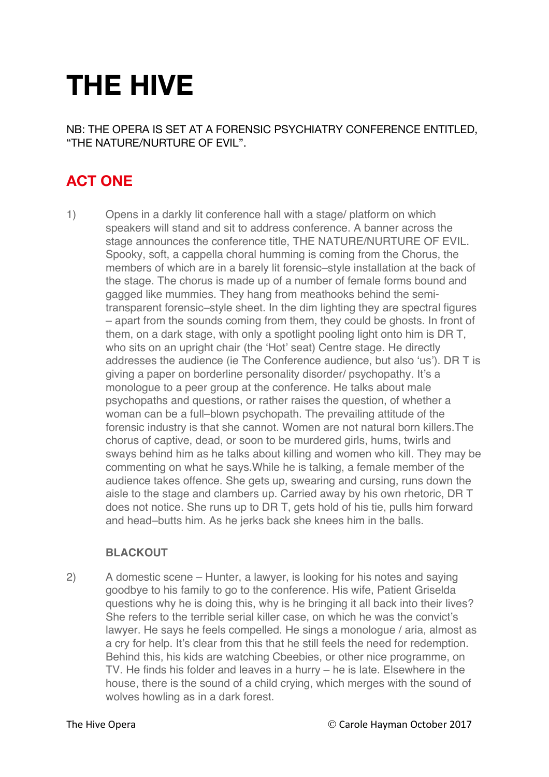# **THE HIVE**

NB: THE OPERA IS SET AT A FORENSIC PSYCHIATRY CONFERENCE ENTITLED, "THE NATURE/NURTURE OF EVIL".

# **ACT ONE**

1) Opens in a darkly lit conference hall with a stage/ platform on which speakers will stand and sit to address conference. A banner across the stage announces the conference title, THE NATURE/NURTURE OF EVIL. Spooky, soft, a cappella choral humming is coming from the Chorus, the members of which are in a barely lit forensic–style installation at the back of the stage. The chorus is made up of a number of female forms bound and gagged like mummies. They hang from meathooks behind the semitransparent forensic–style sheet. In the dim lighting they are spectral figures – apart from the sounds coming from them, they could be ghosts. In front of them, on a dark stage, with only a spotlight pooling light onto him is DR T, who sits on an upright chair (the 'Hot' seat) Centre stage. He directly addresses the audience (ie The Conference audience, but also 'us'). DR T is giving a paper on borderline personality disorder/ psychopathy. It's a monologue to a peer group at the conference. He talks about male psychopaths and questions, or rather raises the question, of whether a woman can be a full–blown psychopath. The prevailing attitude of the forensic industry is that she cannot. Women are not natural born killers.The chorus of captive, dead, or soon to be murdered girls, hums, twirls and sways behind him as he talks about killing and women who kill. They may be commenting on what he says.While he is talking, a female member of the audience takes offence. She gets up, swearing and cursing, runs down the aisle to the stage and clambers up. Carried away by his own rhetoric, DR T does not notice. She runs up to DR T, gets hold of his tie, pulls him forward and head–butts him. As he jerks back she knees him in the balls.

### **BLACKOUT**

2) A domestic scene – Hunter, a lawyer, is looking for his notes and saying goodbye to his family to go to the conference. His wife, Patient Griselda questions why he is doing this, why is he bringing it all back into their lives? She refers to the terrible serial killer case, on which he was the convict's lawyer. He says he feels compelled. He sings a monologue / aria, almost as a cry for help. It's clear from this that he still feels the need for redemption. Behind this, his kids are watching Cbeebies, or other nice programme, on TV. He finds his folder and leaves in a hurry – he is late. Elsewhere in the house, there is the sound of a child crying, which merges with the sound of wolves howling as in a dark forest.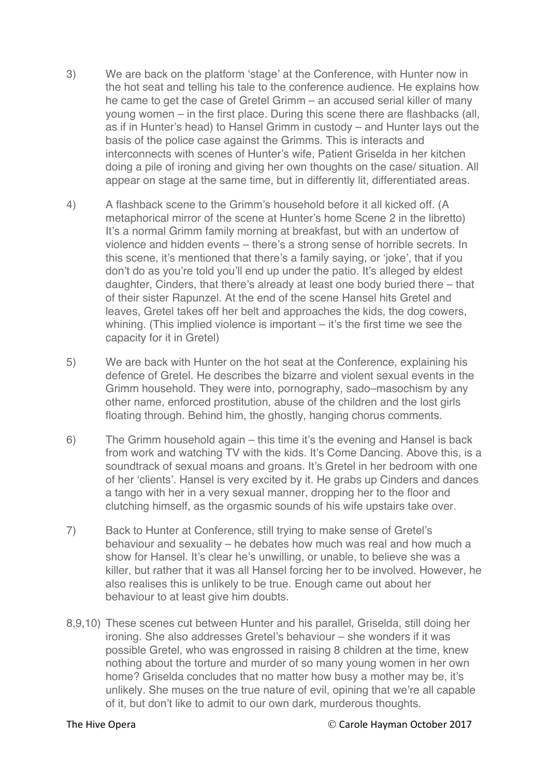- 3) We are back on the platform 'stage' at the Conference, with Hunter now in the hot seat and telling his tale to the conference audience. He explains how he came to get the case of Gretel Grimm – an accused serial killer of many young women – in the first place. During this scene there are flashbacks (all, as if in Hunter's head) to Hansel Grimm in custody – and Hunter lays out the basis of the police case against the Grimms. This is interacts and interconnects with scenes of Hunter's wife, Patient Griselda in her kitchen doing a pile of ironing and giving her own thoughts on the case/ situation. All appear on stage at the same time, but in differently lit, differentiated areas.
- 4) A flashback scene to the Grimm's household before it all kicked off. (A metaphorical mirror of the scene at Hunter's home Scene 2 in the libretto) It's a normal Grimm family morning at breakfast, but with an undertow of violence and hidden events – there's a strong sense of horrible secrets. In this scene, it's mentioned that there's a family saying, or 'joke', that if you don't do as you're told you'll end up under the patio. It's alleged by eldest daughter, Cinders, that there's already at least one body buried there – that of their sister Rapunzel. At the end of the scene Hansel hits Gretel and leaves, Gretel takes off her belt and approaches the kids, the dog cowers, whining. (This implied violence is important – it's the first time we see the capacity for it in Gretel)
- 5) We are back with Hunter on the hot seat at the Conference, explaining his defence of Gretel. He describes the bizarre and violent sexual events in the Grimm household. They were into, pornography, sado–masochism by any other name, enforced prostitution, abuse of the children and the lost girls floating through. Behind him, the ghostly, hanging chorus comments.
- 6) The Grimm household again this time it's the evening and Hansel is back from work and watching TV with the kids. It's Come Dancing. Above this, is a soundtrack of sexual moans and groans. It's Gretel in her bedroom with one of her 'clients'. Hansel is very excited by it. He grabs up Cinders and dances a tango with her in a very sexual manner, dropping her to the floor and clutching himself, as the orgasmic sounds of his wife upstairs take over.
- 7) Back to Hunter at Conference, still trying to make sense of Gretel's behaviour and sexuality – he debates how much was real and how much a show for Hansel. It's clear he's unwilling, or unable, to believe she was a killer, but rather that it was all Hansel forcing her to be involved. However, he also realises this is unlikely to be true. Enough came out about her behaviour to at least give him doubts.
- 8,9,10) These scenes cut between Hunter and his parallel, Griselda, still doing her ironing. She also addresses Gretel's behaviour – she wonders if it was possible Gretel, who was engrossed in raising 8 children at the time, knew nothing about the torture and murder of so many young women in her own home? Griselda concludes that no matter how busy a mother may be, it's unlikely. She muses on the true nature of evil, opining that we're all capable of it, but don't like to admit to our own dark, murderous thoughts.

The Hive Opera **The Hive Opera** Carole Hayman October 2017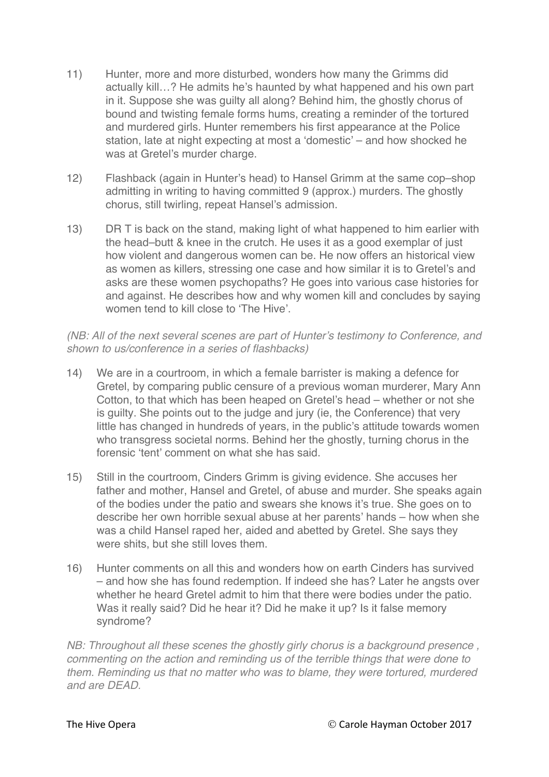- 11) Hunter, more and more disturbed, wonders how many the Grimms did actually kill…? He admits he's haunted by what happened and his own part in it. Suppose she was guilty all along? Behind him, the ghostly chorus of bound and twisting female forms hums, creating a reminder of the tortured and murdered girls. Hunter remembers his first appearance at the Police station, late at night expecting at most a 'domestic' – and how shocked he was at Gretel's murder charge.
- 12) Flashback (again in Hunter's head) to Hansel Grimm at the same cop–shop admitting in writing to having committed 9 (approx.) murders. The ghostly chorus, still twirling, repeat Hansel's admission.
- 13) DR T is back on the stand, making light of what happened to him earlier with the head–butt & knee in the crutch. He uses it as a good exemplar of just how violent and dangerous women can be. He now offers an historical view as women as killers, stressing one case and how similar it is to Gretel's and asks are these women psychopaths? He goes into various case histories for and against. He describes how and why women kill and concludes by saying women tend to kill close to 'The Hive'.

### *(NB: All of the next several scenes are part of Hunter's testimony to Conference, and shown to us/conference in a series of flashbacks)*

- 14) We are in a courtroom, in which a female barrister is making a defence for Gretel, by comparing public censure of a previous woman murderer, Mary Ann Cotton, to that which has been heaped on Gretel's head – whether or not she is guilty. She points out to the judge and jury (ie, the Conference) that very little has changed in hundreds of years, in the public's attitude towards women who transgress societal norms. Behind her the ghostly, turning chorus in the forensic 'tent' comment on what she has said.
- 15) Still in the courtroom, Cinders Grimm is giving evidence. She accuses her father and mother, Hansel and Gretel, of abuse and murder. She speaks again of the bodies under the patio and swears she knows it's true. She goes on to describe her own horrible sexual abuse at her parents' hands – how when she was a child Hansel raped her, aided and abetted by Gretel. She says they were shits, but she still loves them.
- 16) Hunter comments on all this and wonders how on earth Cinders has survived – and how she has found redemption. If indeed she has? Later he angsts over whether he heard Gretel admit to him that there were bodies under the patio. Was it really said? Did he hear it? Did he make it up? Is it false memory syndrome?

*NB: Throughout all these scenes the ghostly girly chorus is a background presence, commenting on the action and reminding us of the terrible things that were done to them. Reminding us that no matter who was to blame, they were tortured, murdered and are DEAD.*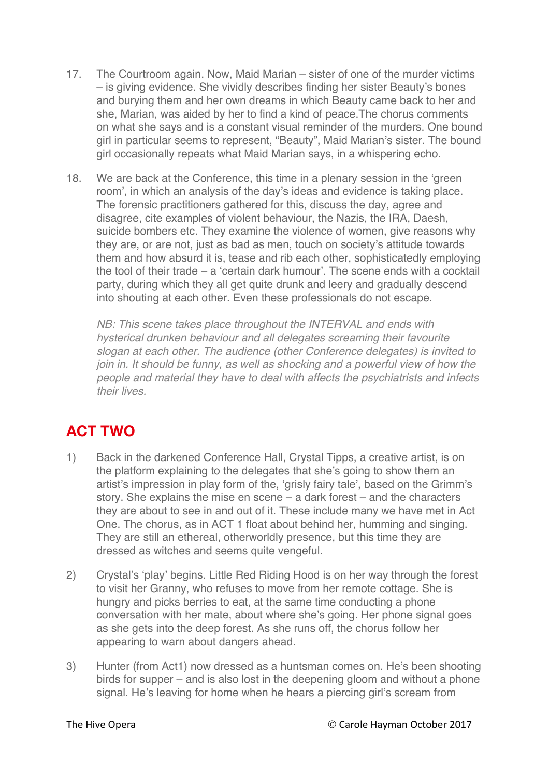- 17. The Courtroom again. Now, Maid Marian sister of one of the murder victims – is giving evidence. She vividly describes finding her sister Beauty's bones and burying them and her own dreams in which Beauty came back to her and she, Marian, was aided by her to find a kind of peace.The chorus comments on what she says and is a constant visual reminder of the murders. One bound girl in particular seems to represent, "Beauty", Maid Marian's sister. The bound girl occasionally repeats what Maid Marian says, in a whispering echo.
- 18. We are back at the Conference, this time in a plenary session in the 'green room', in which an analysis of the day's ideas and evidence is taking place. The forensic practitioners gathered for this, discuss the day, agree and disagree, cite examples of violent behaviour, the Nazis, the IRA, Daesh, suicide bombers etc. They examine the violence of women, give reasons why they are, or are not, just as bad as men, touch on society's attitude towards them and how absurd it is, tease and rib each other, sophisticatedly employing the tool of their trade – a 'certain dark humour'. The scene ends with a cocktail party, during which they all get quite drunk and leery and gradually descend into shouting at each other. Even these professionals do not escape.

*NB: This scene takes place throughout the INTERVAL and ends with hysterical drunken behaviour and all delegates screaming their favourite slogan at each other. The audience (other Conference delegates) is invited to join in. It should be funny, as well as shocking and a powerful view of how the people and material they have to deal with affects the psychiatrists and infects their lives.*

# **ACT TWO**

- 1) Back in the darkened Conference Hall, Crystal Tipps, a creative artist, is on the platform explaining to the delegates that she's going to show them an artist's impression in play form of the, 'grisly fairy tale', based on the Grimm's story. She explains the mise en scene – a dark forest – and the characters they are about to see in and out of it. These include many we have met in Act One. The chorus, as in ACT 1 float about behind her, humming and singing. They are still an ethereal, otherworldly presence, but this time they are dressed as witches and seems quite vengeful.
- 2) Crystal's 'play' begins. Little Red Riding Hood is on her way through the forest to visit her Granny, who refuses to move from her remote cottage. She is hungry and picks berries to eat, at the same time conducting a phone conversation with her mate, about where she's going. Her phone signal goes as she gets into the deep forest. As she runs off, the chorus follow her appearing to warn about dangers ahead.
- 3) Hunter (from Act1) now dressed as a huntsman comes on. He's been shooting birds for supper – and is also lost in the deepening gloom and without a phone signal. He's leaving for home when he hears a piercing girl's scream from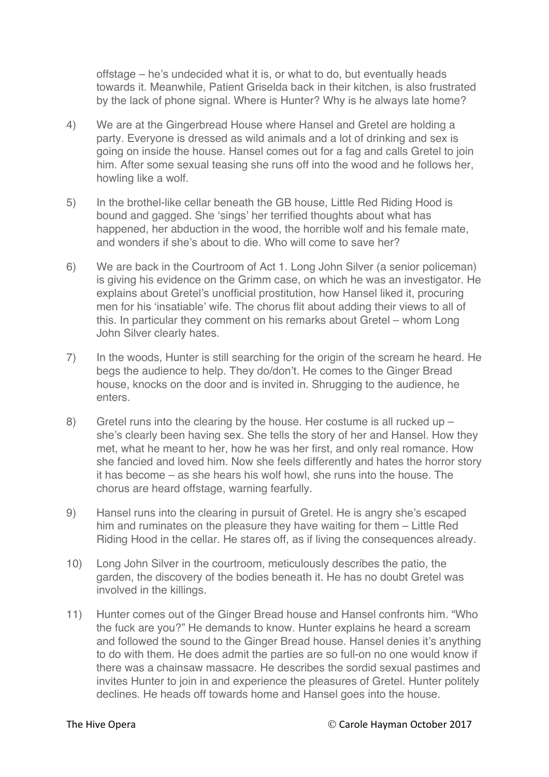offstage – he's undecided what it is, or what to do, but eventually heads towards it. Meanwhile, Patient Griselda back in their kitchen, is also frustrated by the lack of phone signal. Where is Hunter? Why is he always late home?

- 4) We are at the Gingerbread House where Hansel and Gretel are holding a party. Everyone is dressed as wild animals and a lot of drinking and sex is going on inside the house. Hansel comes out for a fag and calls Gretel to join him. After some sexual teasing she runs off into the wood and he follows her, howling like a wolf.
- 5) In the brothel-like cellar beneath the GB house, Little Red Riding Hood is bound and gagged. She 'sings' her terrified thoughts about what has happened, her abduction in the wood, the horrible wolf and his female mate, and wonders if she's about to die. Who will come to save her?
- 6) We are back in the Courtroom of Act 1. Long John Silver (a senior policeman) is giving his evidence on the Grimm case, on which he was an investigator. He explains about Gretel's unofficial prostitution, how Hansel liked it, procuring men for his 'insatiable' wife. The chorus flit about adding their views to all of this. In particular they comment on his remarks about Gretel – whom Long John Silver clearly hates.
- 7) In the woods, Hunter is still searching for the origin of the scream he heard. He begs the audience to help. They do/don't. He comes to the Ginger Bread house, knocks on the door and is invited in. Shrugging to the audience, he enters.
- 8) Gretel runs into the clearing by the house. Her costume is all rucked up she's clearly been having sex. She tells the story of her and Hansel. How they met, what he meant to her, how he was her first, and only real romance. How she fancied and loved him. Now she feels differently and hates the horror story it has become – as she hears his wolf howl, she runs into the house. The chorus are heard offstage, warning fearfully.
- 9) Hansel runs into the clearing in pursuit of Gretel. He is angry she's escaped him and ruminates on the pleasure they have waiting for them – Little Red Riding Hood in the cellar. He stares off, as if living the consequences already.
- 10) Long John Silver in the courtroom, meticulously describes the patio, the garden, the discovery of the bodies beneath it. He has no doubt Gretel was involved in the killings.
- 11) Hunter comes out of the Ginger Bread house and Hansel confronts him. "Who the fuck are you?" He demands to know. Hunter explains he heard a scream and followed the sound to the Ginger Bread house. Hansel denies it's anything to do with them. He does admit the parties are so full-on no one would know if there was a chainsaw massacre. He describes the sordid sexual pastimes and invites Hunter to join in and experience the pleasures of Gretel. Hunter politely declines. He heads off towards home and Hansel goes into the house.